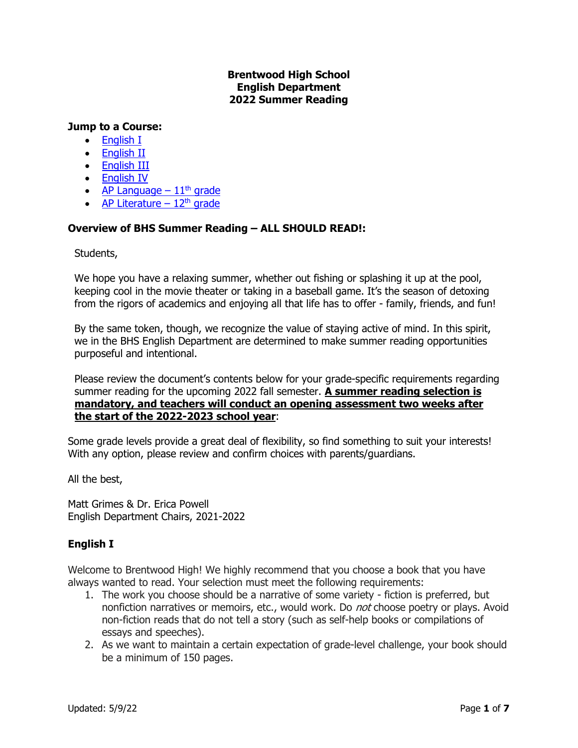### **Brentwood High School English Department 2022 Summer Reading**

#### **Jump to a Course:**

- [English I](#page-0-0)
- [English II](#page-1-0)
- [English III](#page-2-0)
- [English IV](#page-3-0)
- AP Language  $-11<sup>th</sup>$  grade
- AP Literature  $12<sup>th</sup>$  grade

### **Overview of BHS Summer Reading – ALL SHOULD READ!:**

Students,

We hope you have a relaxing summer, whether out fishing or splashing it up at the pool, keeping cool in the movie theater or taking in a baseball game. It's the season of detoxing from the rigors of academics and enjoying all that life has to offer - family, friends, and fun!

By the same token, though, we recognize the value of staying active of mind. In this spirit, we in the BHS English Department are determined to make summer reading opportunities purposeful and intentional.

Please review the document's contents below for your grade-specific requirements regarding summer reading for the upcoming 2022 fall semester. **A summer reading selection is mandatory, and teachers will conduct an opening assessment two weeks after the start of the 2022-2023 school year**:

Some grade levels provide a great deal of flexibility, so find something to suit your interests! With any option, please review and confirm choices with parents/guardians.

All the best,

Matt Grimes & Dr. Erica Powell English Department Chairs, 2021-2022

# <span id="page-0-0"></span>**English I**

Welcome to Brentwood High! We highly recommend that you choose a book that you have always wanted to read. Your selection must meet the following requirements:

- 1. The work you choose should be a narrative of some variety fiction is preferred, but nonfiction narratives or memoirs, etc., would work. Do not choose poetry or plays. Avoid non-fiction reads that do not tell a story (such as self-help books or compilations of essays and speeches).
- 2. As we want to maintain a certain expectation of grade-level challenge, your book should be a minimum of 150 pages.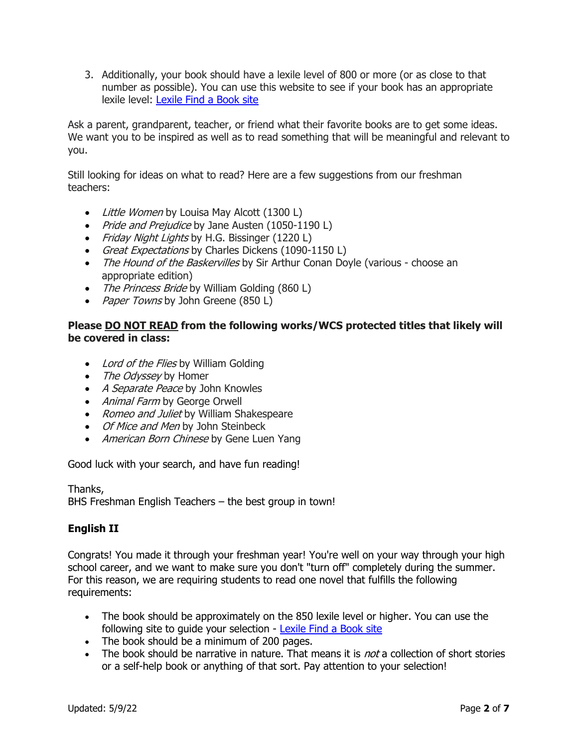3. Additionally, your book should have a lexile level of 800 or more (or as close to that number as possible). You can use this website to see if your book has an appropriate lexile level: [Lexile Find a Book site](https://hub.lexile.com/find-a-book/book-results) 

Ask a parent, grandparent, teacher, or friend what their favorite books are to get some ideas. We want you to be inspired as well as to read something that will be meaningful and relevant to you.

Still looking for ideas on what to read? Here are a few suggestions from our freshman teachers:

- Little Women by Louisa May Alcott (1300 L)
- Pride and Prejudice by Jane Austen (1050-1190 L)
- Friday Night Lights by H.G. Bissinger (1220 L)
- Great Expectations by Charles Dickens (1090-1150 L)
- The Hound of the Baskervilles by Sir Arthur Conan Doyle (various choose an appropriate edition)
- The Princess Bride by William Golding (860 L)
- Paper Towns by John Greene (850 L)

### **Please DO NOT READ from the following works/WCS protected titles that likely will be covered in class:**

- Lord of the Flies by William Golding
- The Odyssey by Homer
- A Separate Peace by John Knowles
- Animal Farm by George Orwell
- Romeo and Juliet by William Shakespeare
- Of Mice and Men by John Steinbeck
- American Born Chinese by Gene Luen Yang

Good luck with your search, and have fun reading!

Thanks, BHS Freshman English Teachers – the best group in town!

# <span id="page-1-0"></span>**English II**

Congrats! You made it through your freshman year! You're well on your way through your high school career, and we want to make sure you don't "turn off" completely during the summer. For this reason, we are requiring students to read one novel that fulfills the following requirements:

- The book should be approximately on the 850 lexile level or higher. You can use the following site to guide your selection - [Lexile Find a Book site](https://hub.lexile.com/find-a-book/book-results)
- The book should be a minimum of 200 pages.
- The book should be narrative in nature. That means it is *not* a collection of short stories or a self-help book or anything of that sort. Pay attention to your selection!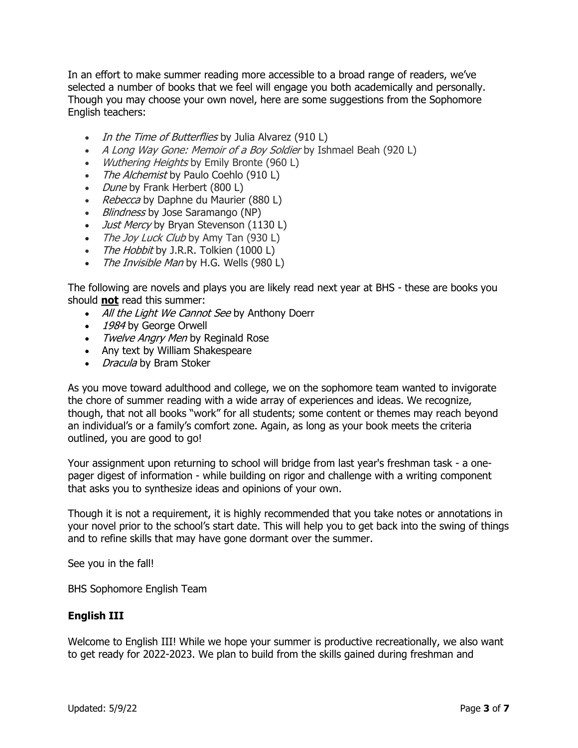In an effort to make summer reading more accessible to a broad range of readers, we've selected a number of books that we feel will engage you both academically and personally. Though you may choose your own novel, here are some suggestions from the Sophomore English teachers:

- In the Time of Butterflies by Julia Alvarez (910 L)
- A Long Way Gone: Memoir of a Boy Soldier by Ishmael Beah (920 L)
- Wuthering Heights by Emily Bronte (960 L)
- The Alchemist by Paulo Coehlo (910 L)
- Dune by Frank Herbert (800 L)
- Rebecca by Daphne du Maurier (880 L)
- Blindness by Jose Saramango (NP)
- *Just Mercy* by Bryan Stevenson (1130 L)
- The Joy Luck Club by Amy Tan (930 L)
- The Hobbit by J.R.R. Tolkien (1000 L)
- The Invisible Man by H.G. Wells (980 L)

The following are novels and plays you are likely read next year at BHS - these are books you should **not** read this summer:

- All the Light We Cannot See by Anthony Doerr
- 1984 by George Orwell
- Twelve Angry Men by Reginald Rose
- Any text by William Shakespeare
- *Dracula* by Bram Stoker

As you move toward adulthood and college, we on the sophomore team wanted to invigorate the chore of summer reading with a wide array of experiences and ideas. We recognize, though, that not all books "work" for all students; some content or themes may reach beyond an individual's or a family's comfort zone. Again, as long as your book meets the criteria outlined, you are good to go!

Your assignment upon returning to school will bridge from last year's freshman task - a onepager digest of information - while building on rigor and challenge with a writing component that asks you to synthesize ideas and opinions of your own.

Though it is not a requirement, it is highly recommended that you take notes or annotations in your novel prior to the school's start date. This will help you to get back into the swing of things and to refine skills that may have gone dormant over the summer.

See you in the fall!

BHS Sophomore English Team

#### <span id="page-2-0"></span>**English III**

Welcome to English III! While we hope your summer is productive recreationally, we also want to get ready for 2022-2023. We plan to build from the skills gained during freshman and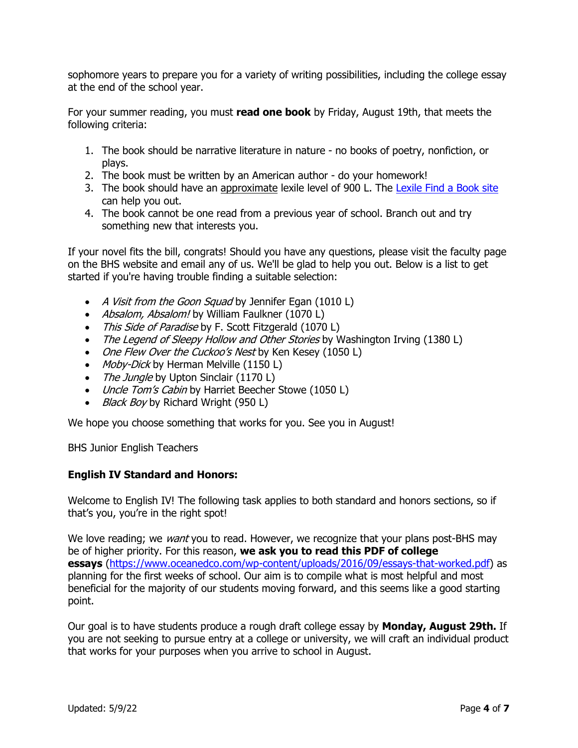sophomore years to prepare you for a variety of writing possibilities, including the college essay at the end of the school year.

For your summer reading, you must **read one book** by Friday, August 19th, that meets the following criteria:

- 1. The book should be narrative literature in nature no books of poetry, nonfiction, or plays.
- 2. The book must be written by an American author do your homework!
- 3. The book should have an approximate lexile level of 900 L. The [Lexile Find a Book site](https://hub.lexile.com/find-a-book/book-results) can help you out.
- 4. The book cannot be one read from a previous year of school. Branch out and try something new that interests you.

If your novel fits the bill, congrats! Should you have any questions, please visit the faculty page on the BHS website and email any of us. We'll be glad to help you out. Below is a list to get started if you're having trouble finding a suitable selection:

- A Visit from the Goon Squad by Jennifer Egan (1010 L)
- Absalom, Absalom! by William Faulkner (1070 L)
- This Side of Paradise by F. Scott Fitzgerald (1070 L)
- The Legend of Sleepy Hollow and Other Stories by Washington Irving (1380 L)
- One Flew Over the Cuckoo's Nest by Ken Kesey (1050 L)
- Moby-Dick by Herman Melville (1150 L)
- The Jungle by Upton Sinclair (1170 L)
- Uncle Tom's Cabin by Harriet Beecher Stowe (1050 L)
- *Black Boy* by Richard Wright (950 L)

We hope you choose something that works for you. See you in August!

BHS Junior English Teachers

#### <span id="page-3-0"></span>**English IV Standard and Honors:**

Welcome to English IV! The following task applies to both standard and honors sections, so if that's you, you're in the right spot!

We love reading; we *want* you to read. However, we recognize that your plans post-BHS may be of higher priority. For this reason, **we ask you to read this PDF of college essays** [\(https://www.oceanedco.com/wp-content/uploads/2016/09/essays-that-worked.pdf\)](https://www.oceanedco.com/wp-content/uploads/2016/09/essays-that-worked.pdf) as planning for the first weeks of school. Our aim is to compile what is most helpful and most beneficial for the majority of our students moving forward, and this seems like a good starting point.

Our goal is to have students produce a rough draft college essay by **Monday, August 29th.** If you are not seeking to pursue entry at a college or university, we will craft an individual product that works for your purposes when you arrive to school in August.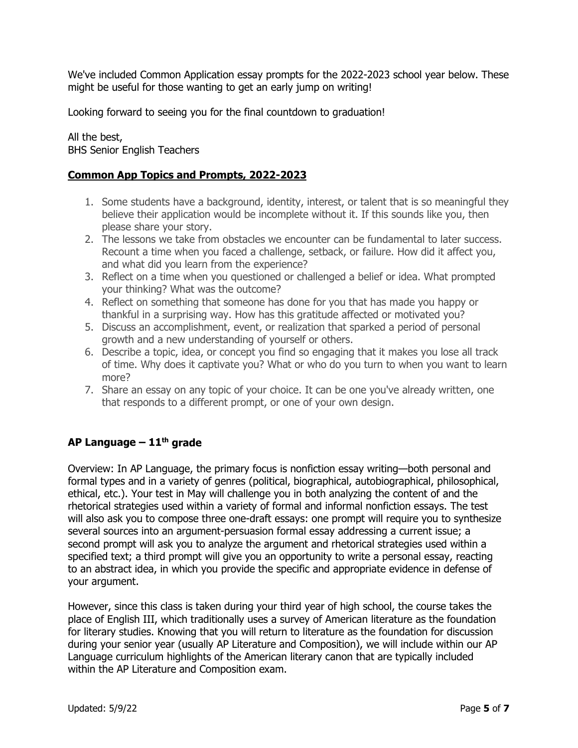We've included Common Application essay prompts for the 2022-2023 school year below. These might be useful for those wanting to get an early jump on writing!

Looking forward to seeing you for the final countdown to graduation!

All the best, BHS Senior English Teachers

### **Common App Topics and Prompts, 2022-2023**

- 1. Some students have a background, identity, interest, or talent that is so meaningful they believe their application would be incomplete without it. If this sounds like you, then please share your story.
- 2. The lessons we take from obstacles we encounter can be fundamental to later success. Recount a time when you faced a challenge, setback, or failure. How did it affect you, and what did you learn from the experience?
- 3. Reflect on a time when you questioned or challenged a belief or idea. What prompted your thinking? What was the outcome?
- 4. Reflect on something that someone has done for you that has made you happy or thankful in a surprising way. How has this gratitude affected or motivated you?
- 5. Discuss an accomplishment, event, or realization that sparked a period of personal growth and a new understanding of yourself or others.
- 6. Describe a topic, idea, or concept you find so engaging that it makes you lose all track of time. Why does it captivate you? What or who do you turn to when you want to learn more?
- 7. Share an essay on any topic of your choice. It can be one you've already written, one that responds to a different prompt, or one of your own design.

# <span id="page-4-0"></span>**AP Language – 11th grade**

Overview: In AP Language, the primary focus is nonfiction essay writing—both personal and formal types and in a variety of genres (political, biographical, autobiographical, philosophical, ethical, etc.). Your test in May will challenge you in both analyzing the content of and the rhetorical strategies used within a variety of formal and informal nonfiction essays. The test will also ask you to compose three one-draft essays: one prompt will require you to synthesize several sources into an argument-persuasion formal essay addressing a current issue; a second prompt will ask you to analyze the argument and rhetorical strategies used within a specified text; a third prompt will give you an opportunity to write a personal essay, reacting to an abstract idea, in which you provide the specific and appropriate evidence in defense of your argument.

However, since this class is taken during your third year of high school, the course takes the place of English III, which traditionally uses a survey of American literature as the foundation for literary studies. Knowing that you will return to literature as the foundation for discussion during your senior year (usually AP Literature and Composition), we will include within our AP Language curriculum highlights of the American literary canon that are typically included within the AP Literature and Composition exam.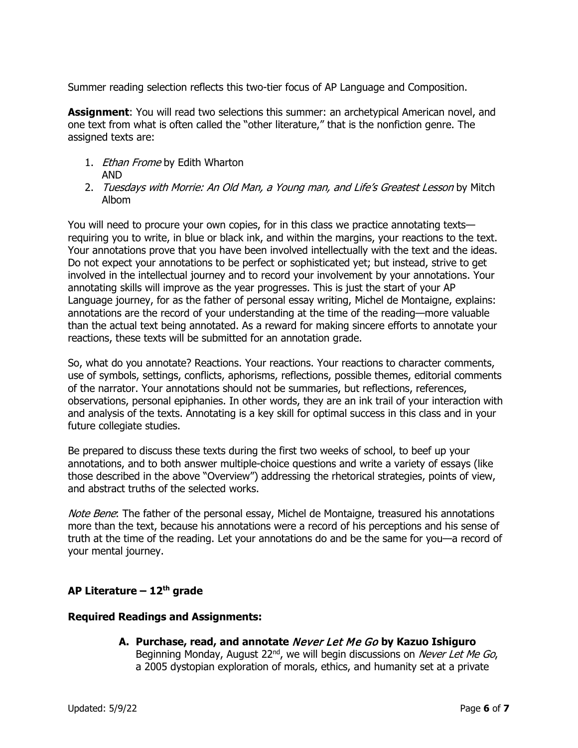Summer reading selection reflects this two-tier focus of AP Language and Composition.

**Assignment**: You will read two selections this summer: an archetypical American novel, and one text from what is often called the "other literature," that is the nonfiction genre. The assigned texts are:

- 1. *Ethan Frome* by Edith Wharton AND
- 2. Tuesdays with Morrie: An Old Man, a Young man, and Life's Greatest Lesson by Mitch Albom

You will need to procure your own copies, for in this class we practice annotating texts requiring you to write, in blue or black ink, and within the margins, your reactions to the text. Your annotations prove that you have been involved intellectually with the text and the ideas. Do not expect your annotations to be perfect or sophisticated yet; but instead, strive to get involved in the intellectual journey and to record your involvement by your annotations. Your annotating skills will improve as the year progresses. This is just the start of your AP Language journey, for as the father of personal essay writing, Michel de Montaigne, explains: annotations are the record of your understanding at the time of the reading—more valuable than the actual text being annotated. As a reward for making sincere efforts to annotate your reactions, these texts will be submitted for an annotation grade.

So, what do you annotate? Reactions. Your reactions. Your reactions to character comments, use of symbols, settings, conflicts, aphorisms, reflections, possible themes, editorial comments of the narrator. Your annotations should not be summaries, but reflections, references, observations, personal epiphanies. In other words, they are an ink trail of your interaction with and analysis of the texts. Annotating is a key skill for optimal success in this class and in your future collegiate studies.

Be prepared to discuss these texts during the first two weeks of school, to beef up your annotations, and to both answer multiple-choice questions and write a variety of essays (like those described in the above "Overview") addressing the rhetorical strategies, points of view, and abstract truths of the selected works.

Note Bene: The father of the personal essay, Michel de Montaigne, treasured his annotations more than the text, because his annotations were a record of his perceptions and his sense of truth at the time of the reading. Let your annotations do and be the same for you—a record of your mental journey.

# <span id="page-5-0"></span>**AP Literature – 12th grade**

#### **Required Readings and Assignments:**

**A. Purchase, read, and annotate** Never Let Me Go **by Kazuo Ishiguro** Beginning Monday, August 22<sup>nd</sup>, we will begin discussions on *Never Let Me Go*, a 2005 dystopian exploration of morals, ethics, and humanity set at a private